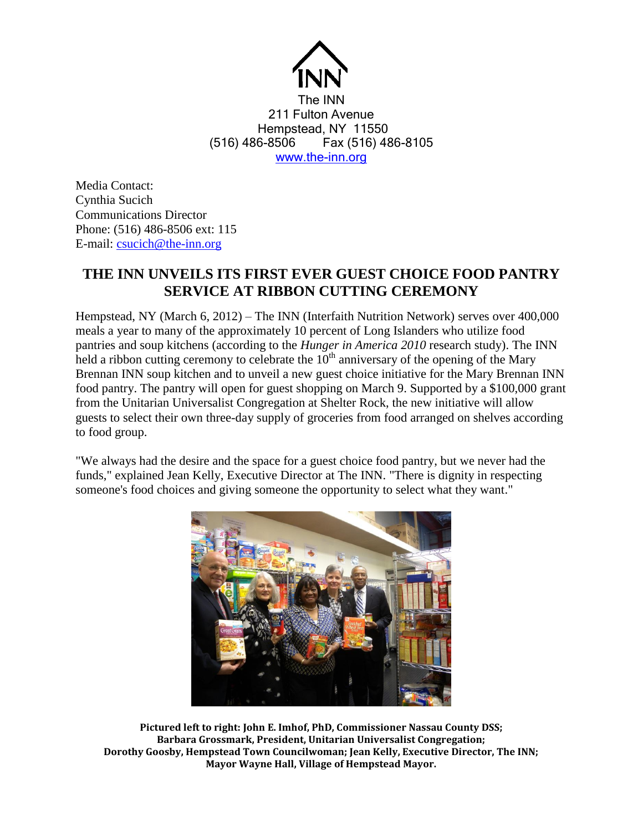

The INN 211 Fulton Avenue Hempstead, NY 11550 (516) 486-8506 Fax (516) 486-8105 [www.the-inn.org](http://www.the-inn.org/)

Media Contact: Cynthia Sucich Communications Director Phone: (516) 486-8506 ext: 115 E-mail: [csucich@the-inn.org](mailto:csucich@the-inn.org)

## **THE INN UNVEILS ITS FIRST EVER GUEST CHOICE FOOD PANTRY SERVICE AT RIBBON CUTTING CEREMONY**

Hempstead, NY (March 6, 2012) – The INN (Interfaith Nutrition Network) serves over 400,000 meals a year to many of the approximately 10 percent of Long Islanders who utilize food pantries and soup kitchens (according to the *Hunger in America 2010* research study). The INN held a ribbon cutting ceremony to celebrate the  $10<sup>th</sup>$  anniversary of the opening of the Mary Brennan INN soup kitchen and to unveil a new guest choice initiative for the Mary Brennan INN food pantry. The pantry will open for guest shopping on March 9. Supported by a \$100,000 grant from the Unitarian Universalist Congregation at Shelter Rock, the new initiative will allow guests to select their own three-day supply of groceries from food arranged on shelves according to food group.

"We always had the desire and the space for a guest choice food pantry, but we never had the funds," explained Jean Kelly, Executive Director at The INN. "There is dignity in respecting someone's food choices and giving someone the opportunity to select what they want."



**Pictured left to right: John E. Imhof, PhD, Commissioner Nassau County DSS; Barbara Grossmark, President, Unitarian Universalist Congregation; Dorothy Goosby, Hempstead Town Councilwoman; Jean Kelly, Executive Director, The INN; Mayor Wayne Hall, Village of Hempstead Mayor.**